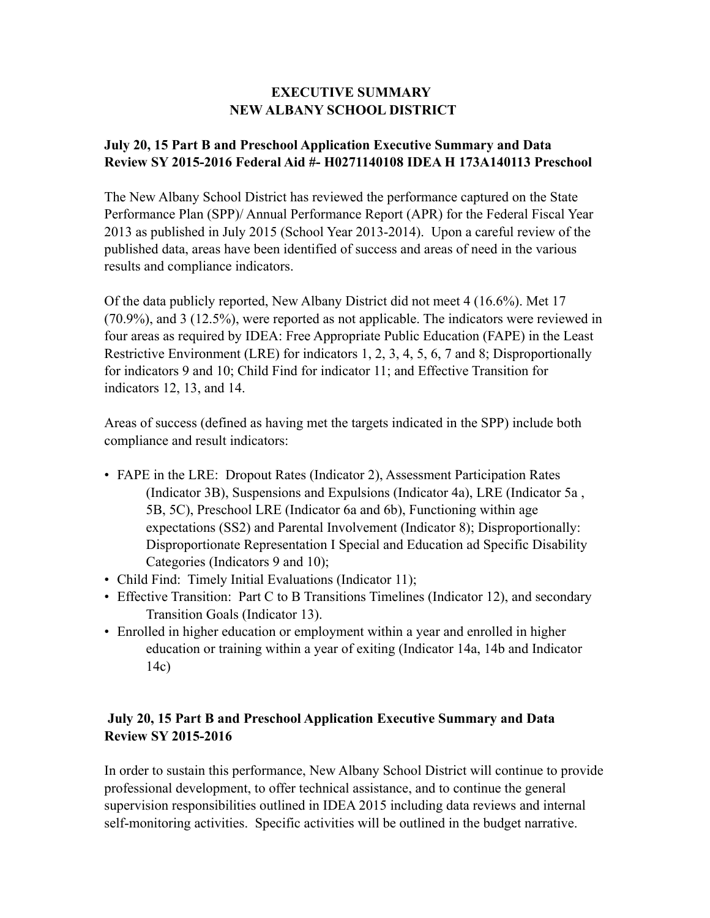## **EXECUTIVE SUMMARY NEW ALBANY SCHOOL DISTRICT**

## **July 20, 15 Part B and Preschool Application Executive Summary and Data Review SY 2015-2016 Federal Aid #- H0271140108 IDEA H 173A140113 Preschool**

The New Albany School District has reviewed the performance captured on the State Performance Plan (SPP)/ Annual Performance Report (APR) for the Federal Fiscal Year 2013 as published in July 2015 (School Year 2013-2014). Upon a careful review of the published data, areas have been identified of success and areas of need in the various results and compliance indicators.

Of the data publicly reported, New Albany District did not meet 4 (16.6%). Met 17 (70.9%), and 3 (12.5%), were reported as not applicable. The indicators were reviewed in four areas as required by IDEA: Free Appropriate Public Education (FAPE) in the Least Restrictive Environment (LRE) for indicators 1, 2, 3, 4, 5, 6, 7 and 8; Disproportionally for indicators 9 and 10; Child Find for indicator 11; and Effective Transition for indicators 12, 13, and 14.

Areas of success (defined as having met the targets indicated in the SPP) include both compliance and result indicators:

- FAPE in the LRE: Dropout Rates (Indicator 2), Assessment Participation Rates (Indicator 3B), Suspensions and Expulsions (Indicator 4a), LRE (Indicator 5a , 5B, 5C), Preschool LRE (Indicator 6a and 6b), Functioning within age expectations (SS2) and Parental Involvement (Indicator 8); Disproportionally: Disproportionate Representation I Special and Education ad Specific Disability Categories (Indicators 9 and 10);
- Child Find: Timely Initial Evaluations (Indicator 11);
- Effective Transition: Part C to B Transitions Timelines (Indicator 12), and secondary Transition Goals (Indicator 13).
- Enrolled in higher education or employment within a year and enrolled in higher education or training within a year of exiting (Indicator 14a, 14b and Indicator 14c)

## **July 20, 15 Part B and Preschool Application Executive Summary and Data Review SY 2015-2016**

In order to sustain this performance, New Albany School District will continue to provide professional development, to offer technical assistance, and to continue the general supervision responsibilities outlined in IDEA 2015 including data reviews and internal self-monitoring activities. Specific activities will be outlined in the budget narrative.